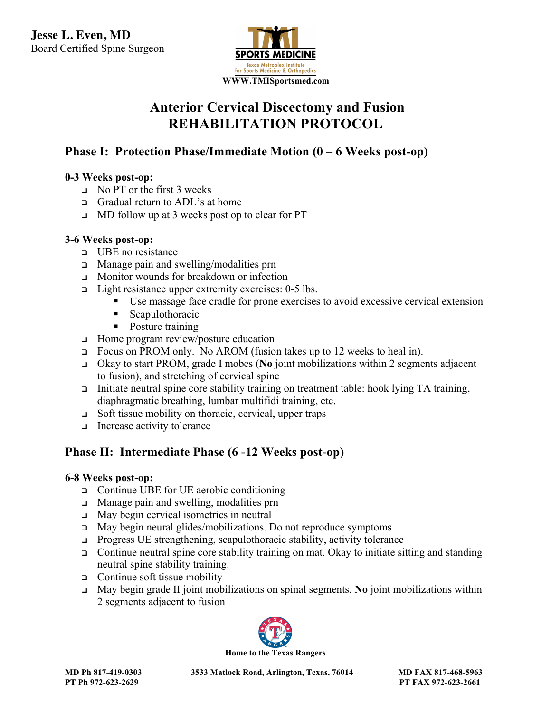

# **Anterior Cervical Discectomy and Fusion REHABILITATION PROTOCOL**

# Phase I: Protection Phase/Immediate Motion (0 – 6 Weeks post-op)

# 0-3 Weeks post-op:

- $\overline{P}$  No PT or the first 3 weeks
	- <sup>q</sup> Gradual return to ADL's at home
	- $\Box$  MD follow up at 3 weeks post op to clear for PT

#### **3-6 Weeks post-op:**

- <sup>q</sup> UBE no resistance
- <sup>q</sup> Manage pain and swelling/modalities prn
- <sup>q</sup> Monitor wounds for breakdown or infection
- $\Box$  Light resistance upper extremity exercises: 0-5 lbs.
	- Use massage face cradle for prone exercises to avoid excessive cervical extension
	- Scapulothoracic
	- Posture training
- $\Box$  Home program review/posture education
- <sup>q</sup> Focus on PROM only. No AROM (fusion takes up to 12 weeks to heal in).
- <sup>q</sup> Okay to start PROM, grade I mobes (**No** joint mobilizations within 2 segments adjacent to fusion), and stretching of cervical spine
- <sup>q</sup> Initiate neutral spine core stability training on treatment table: hook lying TA training, diaphragmatic breathing, lumbar multifidi training, etc.
- $\Box$  Soft tissue mobility on thoracic, cervical, upper traps
- $\Box$  Increase activity tolerance

## **Phase II: Intermediate Phase (6 -12 Weeks post-op)**

#### **6-8 Weeks post-op:**

- <sup>q</sup> Continue UBE for UE aerobic conditioning
- <sup>q</sup> Manage pain and swelling, modalities prn
- <sup>q</sup> May begin cervical isometrics in neutral
- <sup>q</sup> May begin neural glides/mobilizations. Do not reproduce symptoms
- $\Box$  Progress UE strengthening, scapulothoracic stability, activity tolerance
- $\Box$  Continue neutral spine core stability training on mat. Okay to initiate sitting and standing neutral spine stability training.
- $\Box$  Continue soft tissue mobility
- <sup>q</sup> May begin grade II joint mobilizations on spinal segments. **No** joint mobilizations within 2 segments adjacent to fusion